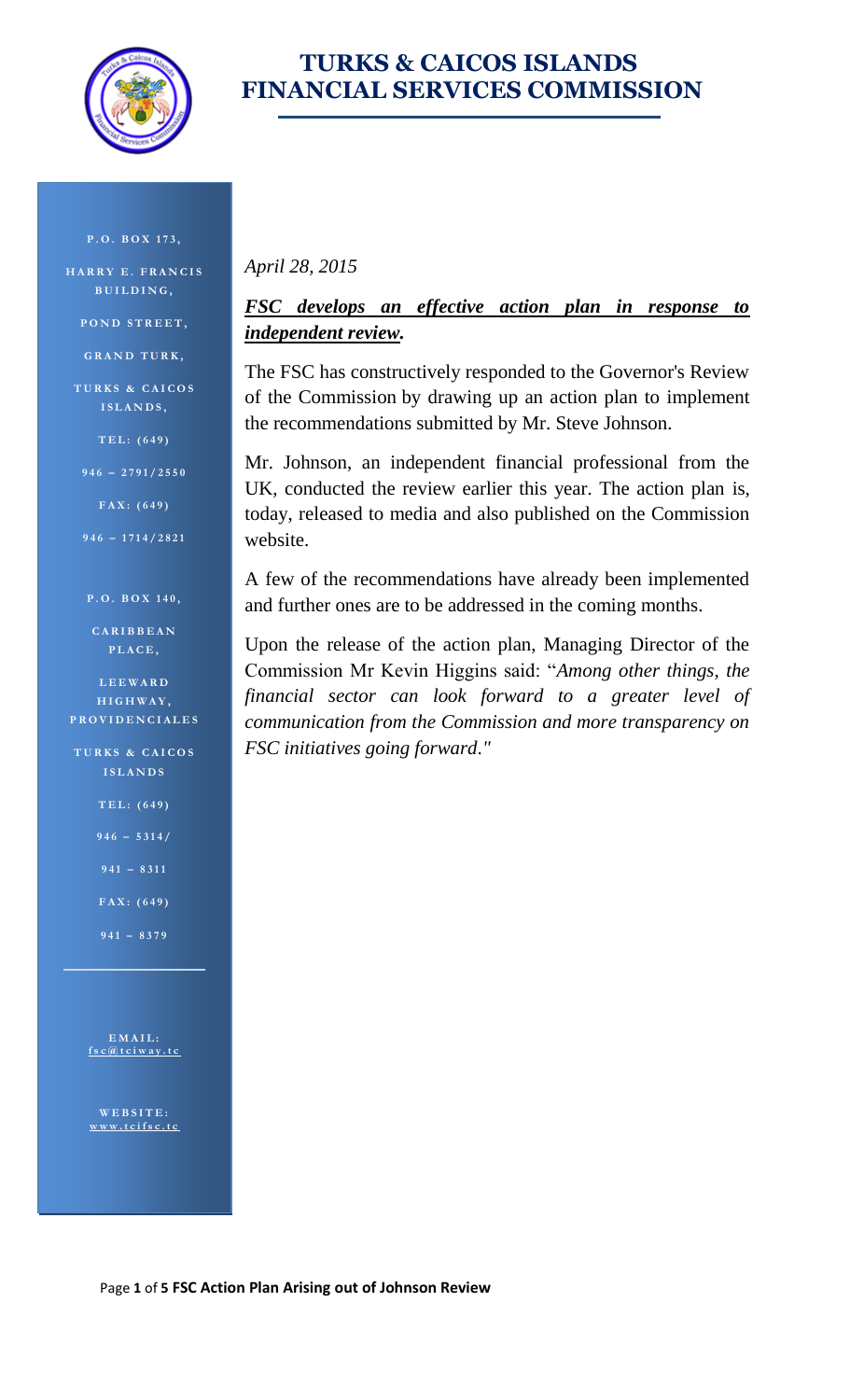

#### **TURKS & CAICOS ISLANDS FINANCIAL SERVICES COMMISSION**

**P . O . B O X 1 7 3 ,**

**H A R R Y E . F R A N C I S B U I L D I N G ,**

**P O N D S T R E E T ,**

**G R A N D T U R K ,**

**T U R K S & C A I C O S I S L A N D S ,**

**T E L : ( 6 4 9 )** 

**9 4 6 – 2 7 9 1 / 2 5 5 0**

**F A X : ( 6 4 9 )** 

**9 4 6 – 1 7 1 4 / 2 8 2 1**

#### **P . O . B O X 1 4 0 ,**

**C A R I B B E A N P L A C E ,** 

**L E E W A R D H I G H W A Y , P R O V I D E N C I A L E S**

**TURKS & CAICOS I S L A N D S**

**T E L : ( 6 4 9 )** 

- **9 4 6 – 5 3 1 4 /**
- **9 4 1 – 8 3 1 1**
- **F A X : ( 6 4 9 )**
- **9 4 1 – 8379**

**E M A I L : [f s c @ t c i w a y . t c](mailto:fsc@tciway.tc)**

**W E B S I T E : [w w w . t c i f s c . t c](http://www.tcifsc.tc/)**

#### *April 28, 2015*

#### *FSC develops an effective action plan in response to independent review.*

The FSC has constructively responded to the Governor's Review of the Commission by drawing up an action plan to implement the recommendations submitted by Mr. Steve Johnson.

Mr. Johnson, an independent financial professional from the UK, conducted the review earlier this year. The action plan is, today, released to media and also published on the Commission website.

A few of the recommendations have already been implemented and further ones are to be addressed in the coming months.

Upon the release of the action plan, Managing Director of the Commission Mr Kevin Higgins said: "*Among other things, the financial sector can look forward to a greater level of communication from the Commission and more transparency on FSC initiatives going forward."*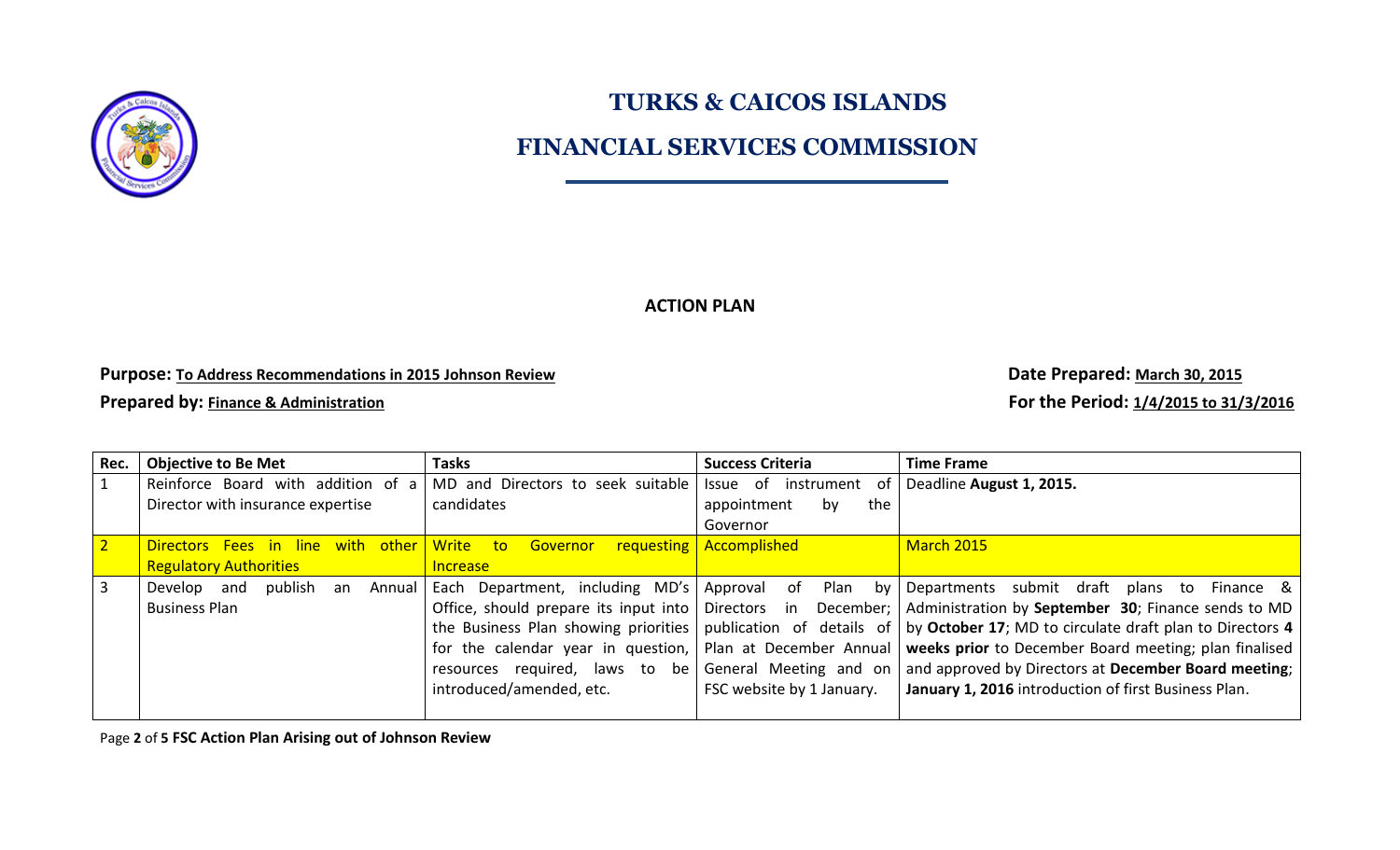

#### **FINANCIAL SERVICES COMMISSION**

**ACTION PLAN**

**Purpose:** To Address Recommendations in 2015 Johnson Review **Commentations** in 2015 30, 2015

**Prepared by: Finance & Administration Administration For the Period:** 1/4/2015 **to 31/3/2016** 

| Rec.           | <b>Objective to Be Met</b>             | <b>Tasks</b>                                | <b>Success Criteria</b>              | <b>Time Frame</b>                                                                                                           |
|----------------|----------------------------------------|---------------------------------------------|--------------------------------------|-----------------------------------------------------------------------------------------------------------------------------|
|                | Reinforce Board with addition of a     | MD and Directors to seek suitable           | Issue of instrument of               | Deadline August 1, 2015.                                                                                                    |
|                | Director with insurance expertise      | candidates                                  | appointment<br>the<br>by<br>Governor |                                                                                                                             |
| 2 <sup>1</sup> | with other<br>Directors Fees in line   | Write<br>to:<br>Governor                    | <b>requesting   Accomplished</b>     | March 2015                                                                                                                  |
|                | <b>Regulatory Authorities</b>          | <b>Increase</b>                             |                                      |                                                                                                                             |
|                | publish<br>Develop and<br>Annual<br>an | Each Department, including MD's Approval of |                                      | Plan by Departments submit draft plans to<br>Finance & I                                                                    |
|                | <b>Business Plan</b>                   |                                             |                                      | Office, should prepare its input into   Directors in December;   Administration by September 30; Finance sends to MD        |
|                |                                        |                                             |                                      | the Business Plan showing priorities   publication of details of   by October 17; MD to circulate draft plan to Directors 4 |
|                |                                        |                                             |                                      | for the calendar year in question,   Plan at December Annual   weeks prior to December Board meeting; plan finalised        |
|                |                                        |                                             |                                      | resources required, laws to be   General Meeting and on   and approved by Directors at December Board meeting;              |
|                |                                        | introduced/amended, etc.                    | FSC website by 1 January.            | January 1, 2016 introduction of first Business Plan.                                                                        |
|                |                                        |                                             |                                      |                                                                                                                             |

Page **2** of **5 FSC Action Plan Arising out of Johnson Review**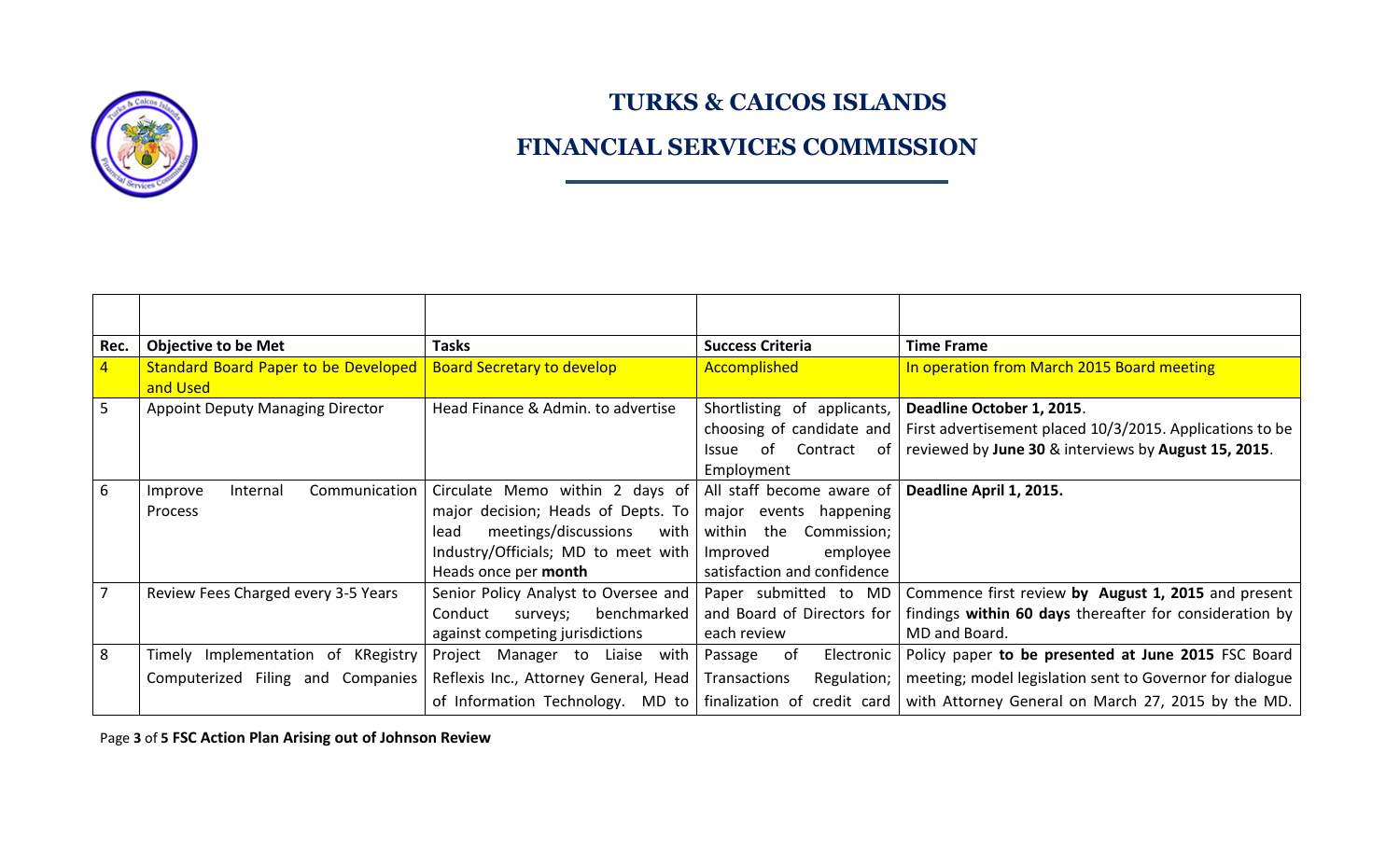

#### **FINANCIAL SERVICES COMMISSION**

| Rec. | <b>Objective to be Met</b>                  | <b>Tasks</b>                          | <b>Success Criteria</b>                          | <b>Time Frame</b>                                                                                                   |
|------|---------------------------------------------|---------------------------------------|--------------------------------------------------|---------------------------------------------------------------------------------------------------------------------|
|      | <b>Standard Board Paper to be Developed</b> | <b>Board Secretary to develop</b>     | <b>Accomplished</b>                              | In operation from March 2015 Board meeting                                                                          |
|      | and Used                                    |                                       |                                                  |                                                                                                                     |
| 5    | <b>Appoint Deputy Managing Director</b>     | Head Finance & Admin. to advertise    | Shortlisting of applicants,                      | Deadline October 1, 2015.                                                                                           |
|      |                                             |                                       | choosing of candidate and                        | First advertisement placed 10/3/2015. Applications to be                                                            |
|      |                                             |                                       | of Contract<br><i><u><b>Issue</b></u></i><br>ot. | reviewed by June 30 & interviews by August 15, 2015.                                                                |
|      |                                             |                                       | Employment                                       |                                                                                                                     |
| 6    | Communication<br>Internal<br>Improve        | Circulate Memo within 2 days of       | All staff become aware of                        | Deadline April 1, 2015.                                                                                             |
|      | Process                                     | major decision; Heads of Depts. To    | major events happening                           |                                                                                                                     |
|      |                                             | meetings/discussions<br>with<br>lead  | Commission;<br>within the                        |                                                                                                                     |
|      |                                             | Industry/Officials; MD to meet with   | employee<br>Improved                             |                                                                                                                     |
|      |                                             | Heads once per month                  | satisfaction and confidence                      |                                                                                                                     |
| 7    | Review Fees Charged every 3-5 Years         | Senior Policy Analyst to Oversee and  | Paper submitted to MD                            | Commence first review by August 1, 2015 and present                                                                 |
|      |                                             | benchmarked<br>Conduct<br>surveys;    | and Board of Directors for                       | findings within 60 days thereafter for consideration by                                                             |
|      |                                             | against competing jurisdictions       | each review                                      | MD and Board.                                                                                                       |
| 8    | Timely Implementation of<br>KRegistry       | Project Manager to<br>Liaise with     | of<br>Electronic  <br>Passage                    | Policy paper to be presented at June 2015 FSC Board                                                                 |
|      | Computerized Filing and Companies           | Reflexis Inc., Attorney General, Head | Transactions<br>Regulation;                      | meeting; model legislation sent to Governor for dialogue                                                            |
|      |                                             |                                       |                                                  | of Information Technology. MD to   finalization of credit card   with Attorney General on March 27, 2015 by the MD. |

Page **3** of **5 FSC Action Plan Arising out of Johnson Review**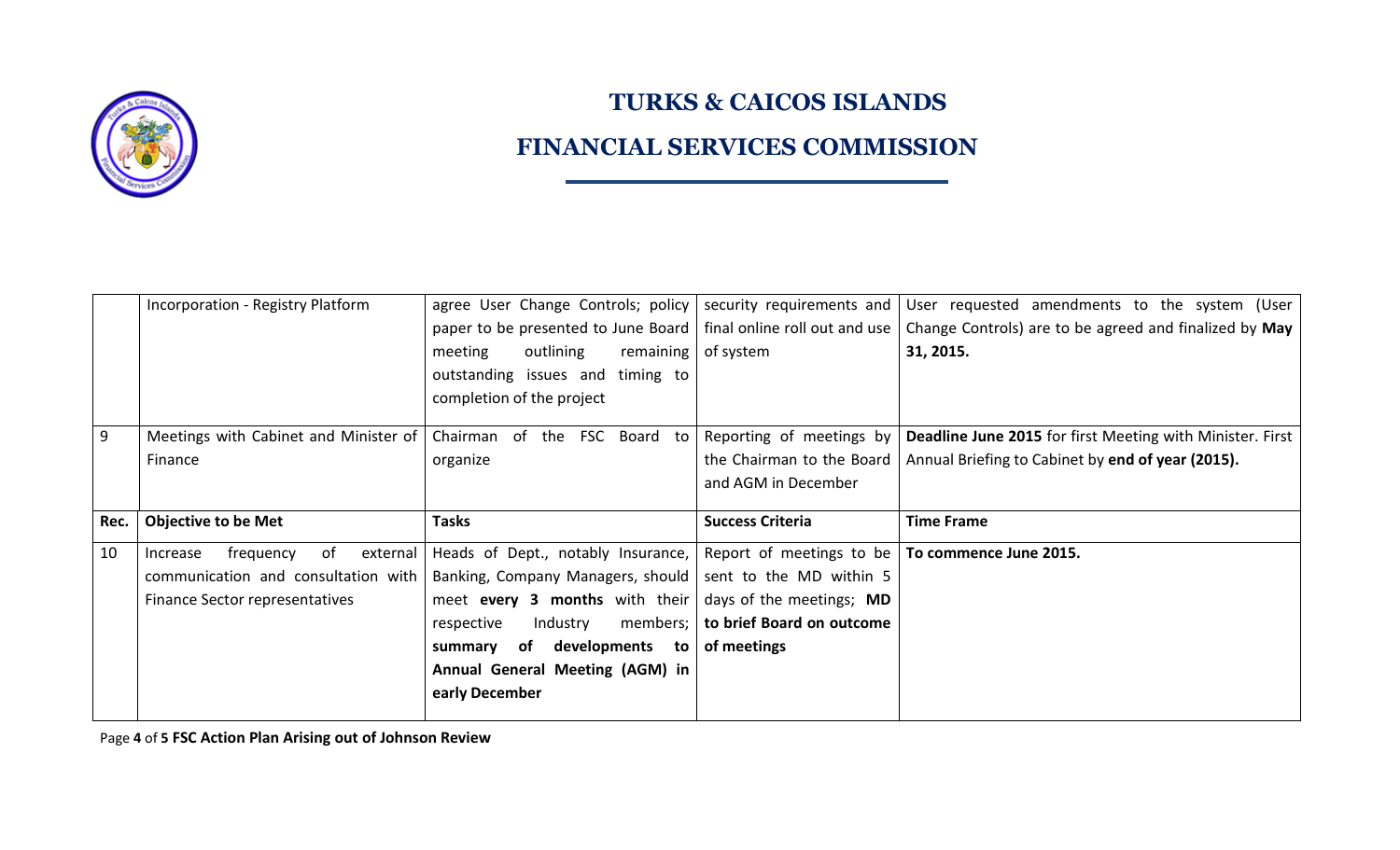

## **FINANCIAL SERVICES COMMISSION**

|      | Incorporation - Registry Platform       | agree User Change Controls; policy   security requirements and      |                                                   | User requested amendments to the system (User                    |
|------|-----------------------------------------|---------------------------------------------------------------------|---------------------------------------------------|------------------------------------------------------------------|
|      |                                         | paper to be presented to June Board   final online roll out and use |                                                   | Change Controls) are to be agreed and finalized by May           |
|      |                                         | outlining<br>meeting<br>remaining $ $ of system                     |                                                   | 31, 2015.                                                        |
|      |                                         | outstanding issues and timing to                                    |                                                   |                                                                  |
|      |                                         | completion of the project                                           |                                                   |                                                                  |
|      |                                         |                                                                     |                                                   |                                                                  |
| 9    | Meetings with Cabinet and Minister of   | Chairman of the FSC Board to                                        | Reporting of meetings by                          | <b>Deadline June 2015</b> for first Meeting with Minister. First |
|      | Finance                                 | organize                                                            | the Chairman to the Board                         | Annual Briefing to Cabinet by end of year (2015).                |
|      |                                         |                                                                     | and AGM in December                               |                                                                  |
|      |                                         |                                                                     |                                                   |                                                                  |
|      |                                         |                                                                     |                                                   |                                                                  |
| Rec. | <b>Objective to be Met</b>              | <b>Tasks</b>                                                        | <b>Success Criteria</b>                           | <b>Time Frame</b>                                                |
| 10   | of<br>external<br>frequency<br>Increase | Heads of Dept., notably Insurance,                                  | Report of meetings to be   To commence June 2015. |                                                                  |
|      | communication and consultation with     | Banking, Company Managers, should   sent to the MD within 5         |                                                   |                                                                  |
|      | Finance Sector representatives          | meet every 3 months with their $\vert$ days of the meetings; MD     |                                                   |                                                                  |
|      |                                         | Industry<br>members;<br>respective                                  | to brief Board on outcome                         |                                                                  |
|      |                                         | summary of developments<br>to                                       | of meetings                                       |                                                                  |
|      |                                         | Annual General Meeting (AGM) in                                     |                                                   |                                                                  |
|      |                                         | early December                                                      |                                                   |                                                                  |

Page **4** of **5 FSC Action Plan Arising out of Johnson Review**